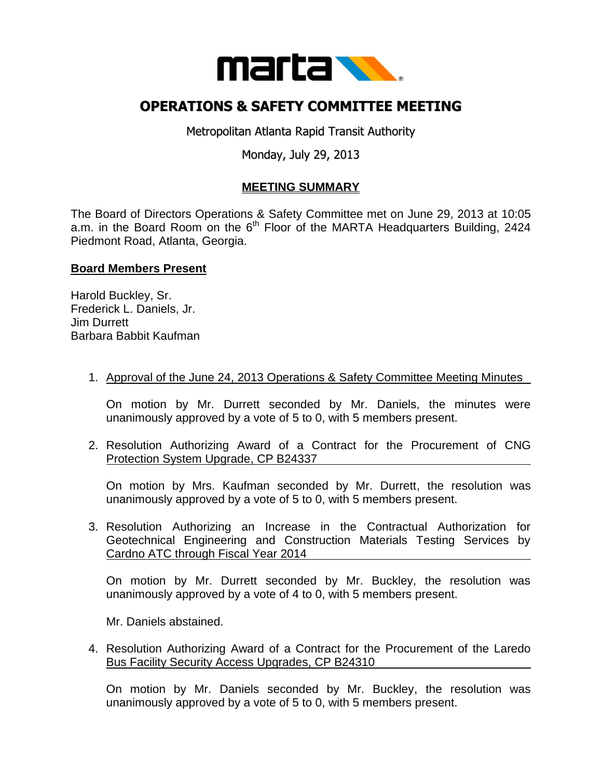

# **OPERATIONS & SAFETY COMMITTEE MEETING**

Metropolitan Atlanta Rapid Transit Authority

## Monday, July 29, 2013

## **MEETING SUMMARY**

The Board of Directors Operations & Safety Committee met on June 29, 2013 at 10:05 a.m. in the Board Room on the  $6<sup>th</sup>$  Floor of the MARTA Headquarters Building, 2424 Piedmont Road, Atlanta, Georgia.

### **Board Members Present**

Harold Buckley, Sr. Frederick L. Daniels, Jr. Jim Durrett Barbara Babbit Kaufman

### 1. Approval of the June 24, 2013 Operations & Safety Committee Meeting Minutes

On motion by Mr. Durrett seconded by Mr. Daniels, the minutes were unanimously approved by a vote of 5 to 0, with 5 members present.

2. Resolution Authorizing Award of a Contract for the Procurement of CNG Protection System Upgrade, CP B24337

On motion by Mrs. Kaufman seconded by Mr. Durrett, the resolution was unanimously approved by a vote of 5 to 0, with 5 members present.

3. Resolution Authorizing an Increase in the Contractual Authorization for Geotechnical Engineering and Construction Materials Testing Services by Cardno ATC through Fiscal Year 2014

On motion by Mr. Durrett seconded by Mr. Buckley, the resolution was unanimously approved by a vote of 4 to 0, with 5 members present.

Mr. Daniels abstained.

4. Resolution Authorizing Award of a Contract for the Procurement of the Laredo Bus Facility Security Access Upgrades, CP B24310

On motion by Mr. Daniels seconded by Mr. Buckley, the resolution was unanimously approved by a vote of 5 to 0, with 5 members present.